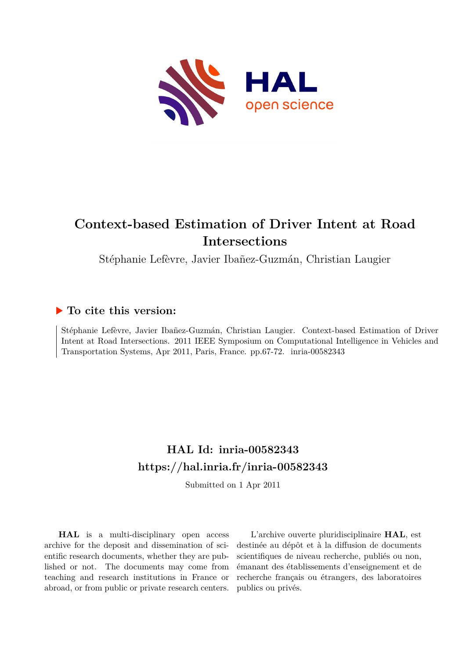

## **Context-based Estimation of Driver Intent at Road Intersections**

Stéphanie Lefèvre, Javier Ibañez-Guzmán, Christian Laugier

### **To cite this version:**

Stéphanie Lefèvre, Javier Ibañez-Guzmán, Christian Laugier. Context-based Estimation of Driver Intent at Road Intersections. 2011 IEEE Symposium on Computational Intelligence in Vehicles and Transportation Systems, Apr 2011, Paris, France. pp.67-72. inria-00582343

## **HAL Id: inria-00582343 <https://hal.inria.fr/inria-00582343>**

Submitted on 1 Apr 2011

**HAL** is a multi-disciplinary open access archive for the deposit and dissemination of scientific research documents, whether they are published or not. The documents may come from teaching and research institutions in France or abroad, or from public or private research centers.

L'archive ouverte pluridisciplinaire **HAL**, est destinée au dépôt et à la diffusion de documents scientifiques de niveau recherche, publiés ou non, émanant des établissements d'enseignement et de recherche français ou étrangers, des laboratoires publics ou privés.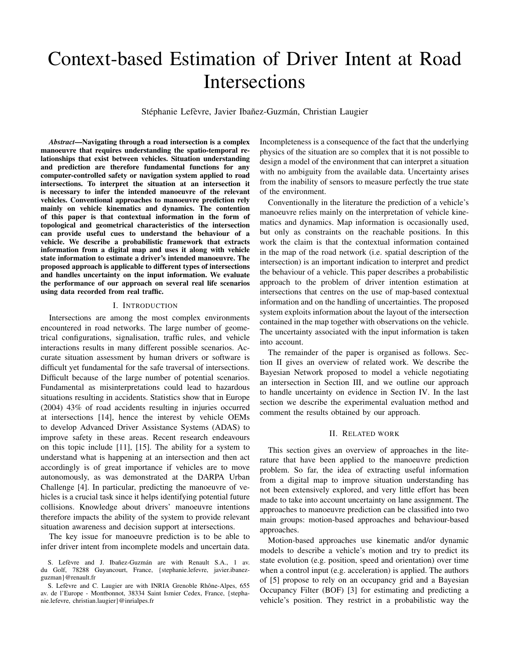# Context-based Estimation of Driver Intent at Road Intersections

Stéphanie Lefèvre, Javier Ibañez-Guzmán, Christian Laugier

*Abstract*—Navigating through a road intersection is a complex manoeuvre that requires understanding the spatio-temporal relationships that exist between vehicles. Situation understanding and prediction are therefore fundamental functions for any computer-controlled safety or navigation system applied to road intersections. To interpret the situation at an intersection it is necessary to infer the intended manoeuvre of the relevant vehicles. Conventional approaches to manoeuvre prediction rely mainly on vehicle kinematics and dynamics. The contention of this paper is that contextual information in the form of topological and geometrical characteristics of the intersection can provide useful cues to understand the behaviour of a vehicle. We describe a probabilistic framework that extracts information from a digital map and uses it along with vehicle state information to estimate a driver's intended manoeuvre. The proposed approach is applicable to different types of intersections and handles uncertainty on the input information. We evaluate the performance of our approach on several real life scenarios using data recorded from real traffic.

#### I. INTRODUCTION

Intersections are among the most complex environments encountered in road networks. The large number of geometrical configurations, signalisation, traffic rules, and vehicle interactions results in many different possible scenarios. Accurate situation assessment by human drivers or software is difficult yet fundamental for the safe traversal of intersections. Difficult because of the large number of potential scenarios. Fundamental as misinterpretations could lead to hazardous situations resulting in accidents. Statistics show that in Europe (2004) 43% of road accidents resulting in injuries occurred at intersections [14], hence the interest by vehicle OEMs to develop Advanced Driver Assistance Systems (ADAS) to improve safety in these areas. Recent research endeavours on this topic include [11], [15]. The ability for a system to understand what is happening at an intersection and then act accordingly is of great importance if vehicles are to move autonomously, as was demonstrated at the DARPA Urban Challenge [4]. In particular, predicting the manoeuvre of vehicles is a crucial task since it helps identifying potential future collisions. Knowledge about drivers' manoeuvre intentions therefore impacts the ability of the system to provide relevant situation awareness and decision support at intersections.

The key issue for manoeuvre prediction is to be able to infer driver intent from incomplete models and uncertain data. Incompleteness is a consequence of the fact that the underlying physics of the situation are so complex that it is not possible to design a model of the environment that can interpret a situation with no ambiguity from the available data. Uncertainty arises from the inability of sensors to measure perfectly the true state of the environment.

Conventionally in the literature the prediction of a vehicle's manoeuvre relies mainly on the interpretation of vehicle kinematics and dynamics. Map information is occasionally used, but only as constraints on the reachable positions. In this work the claim is that the contextual information contained in the map of the road network (i.e. spatial description of the intersection) is an important indication to interpret and predict the behaviour of a vehicle. This paper describes a probabilistic approach to the problem of driver intention estimation at intersections that centres on the use of map-based contextual information and on the handling of uncertainties. The proposed system exploits information about the layout of the intersection contained in the map together with observations on the vehicle. The uncertainty associated with the input information is taken into account.

The remainder of the paper is organised as follows. Section II gives an overview of related work. We describe the Bayesian Network proposed to model a vehicle negotiating an intersection in Section III, and we outline our approach to handle uncertainty on evidence in Section IV. In the last section we describe the experimental evaluation method and comment the results obtained by our approach.

#### II. RELATED WORK

This section gives an overview of approaches in the literature that have been applied to the manoeuvre prediction problem. So far, the idea of extracting useful information from a digital map to improve situation understanding has not been extensively explored, and very little effort has been made to take into account uncertainty on lane assignment. The approaches to manoeuvre prediction can be classified into two main groups: motion-based approaches and behaviour-based approaches.

Motion-based approaches use kinematic and/or dynamic models to describe a vehicle's motion and try to predict its state evolution (e.g. position, speed and orientation) over time when a control input (e.g. acceleration) is applied. The authors of [5] propose to rely on an occupancy grid and a Bayesian Occupancy Filter (BOF) [3] for estimating and predicting a vehicle's position. They restrict in a probabilistic way the

S. Lefèvre and J. Ibañez-Guzmán are with Renault S.A., 1 av. du Golf, 78288 Guyancourt, France, {stephanie.lefevre, javier.ibanezguzman}@renault.fr

S. Lefèvre and C. Laugier are with INRIA Grenoble Rhône-Alpes, 655 av. de l'Europe - Montbonnot, 38334 Saint Ismier Cedex, France, {stephanie.lefevre, christian.laugier}@inrialpes.fr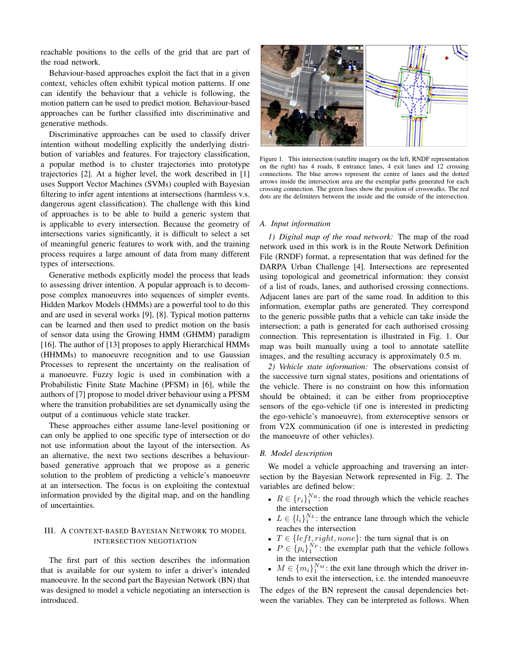reachable positions to the cells of the grid that are part of the road network.

Behaviour-based approaches exploit the fact that in a given context, vehicles often exhibit typical motion patterns. If one can identify the behaviour that a vehicle is following, the motion pattern can be used to predict motion. Behaviour-based approaches can be further classified into discriminative and generative methods.

Discriminative approaches can be used to classify driver intention without modelling explicitly the underlying distribution of variables and features. For trajectory classification, a popular method is to cluster trajectories into prototype trajectories [2]. At a higher level, the work described in [1] uses Support Vector Machines (SVMs) coupled with Bayesian filtering to infer agent intentions at intersections (harmless v.s. dangerous agent classification). The challenge with this kind of approaches is to be able to build a generic system that is applicable to every intersection. Because the geometry of intersections varies significantly, it is difficult to select a set of meaningful generic features to work with, and the training process requires a large amount of data from many different types of intersections.

Generative methods explicitly model the process that leads to assessing driver intention. A popular approach is to decompose complex manoeuvres into sequences of simpler events. Hidden Markov Models (HMMs) are a powerful tool to do this and are used in several works [9], [8]. Typical motion patterns can be learned and then used to predict motion on the basis of sensor data using the Growing HMM (GHMM) paradigm [16]. The author of [13] proposes to apply Hierarchical HMMs (HHMMs) to manoeuvre recognition and to use Gaussian Processes to represent the uncertainty on the realisation of a manoeuvre. Fuzzy logic is used in combination with a Probabilistic Finite State Machine (PFSM) in [6], while the authors of [7] propose to model driver behaviour using a PFSM where the transition probabilities are set dynamically using the output of a continuous vehicle state tracker.

These approaches either assume lane-level positioning or can only be applied to one specific type of intersection or do not use information about the layout of the intersection. As an alternative, the next two sections describes a behaviourbased generative approach that we propose as a generic solution to the problem of predicting a vehicle's manoeuvre at an intersection. The focus is on exploiting the contextual information provided by the digital map, and on the handling of uncertainties.

#### III. A CONTEXT-BASED BAYESIAN NETWORK TO MODEL INTERSECTION NEGOTIATION

The first part of this section describes the information that is available for our system to infer a driver's intended manoeuvre. In the second part the Bayesian Network (BN) that was designed to model a vehicle negotiating an intersection is introduced.



Figure 1. This intersection (satellite imagery on the left, RNDF representation on the right) has 4 roads, 8 entrance lanes, 4 exit lanes and 12 crossing connections. The blue arrows represent the centre of lanes and the dotted arrows inside the intersection area are the exemplar paths generated for each crossing connection. The green lines show the position of crosswalks. The red dots are the delimiters between the inside and the outside of the intersection.

#### *A. Input information*

*1) Digital map of the road network:* The map of the road network used in this work is in the Route Network Definition File (RNDF) format, a representation that was defined for the DARPA Urban Challenge [4]. Intersections are represented using topological and geometrical information: they consist of a list of roads, lanes, and authorised crossing connections. Adjacent lanes are part of the same road. In addition to this information, exemplar paths are generated. They correspond to the generic possible paths that a vehicle can take inside the intersection; a path is generated for each authorised crossing connection. This representation is illustrated in Fig. 1. Our map was built manually using a tool to annotate satellite images, and the resulting accuracy is approximately 0.5 m.

*2) Vehicle state information:* The observations consist of the successive turn signal states, positions and orientations of the vehicle. There is no constraint on how this information should be obtained; it can be either from proprioceptive sensors of the ego-vehicle (if one is interested in predicting the ego-vehicle's manoeuvre), from exteroceptive sensors or from V2X communication (if one is interested in predicting the manoeuvre of other vehicles).

#### *B. Model description*

We model a vehicle approaching and traversing an intersection by the Bayesian Network represented in Fig. 2. The variables are defined below:

- $R \in \{r_i\}_{1}^{N_R}$ : the road through which the vehicle reaches the intersection
- $L \in \{l_i\}_{1}^{N_L}$ : the entrance lane through which the vehicle reaches the intersection
- $T \in \{left, right, none\}$ : the turn signal that is on
- $P \in \{p_i\}_1^{N_P}$ : the exemplar path that the vehicle follows in the intersection
- $M \in \{m_i\}_1^{N_M}$ : the exit lane through which the driver intends to exit the intersection, i.e. the intended manoeuvre

The edges of the BN represent the causal dependencies between the variables. They can be interpreted as follows. When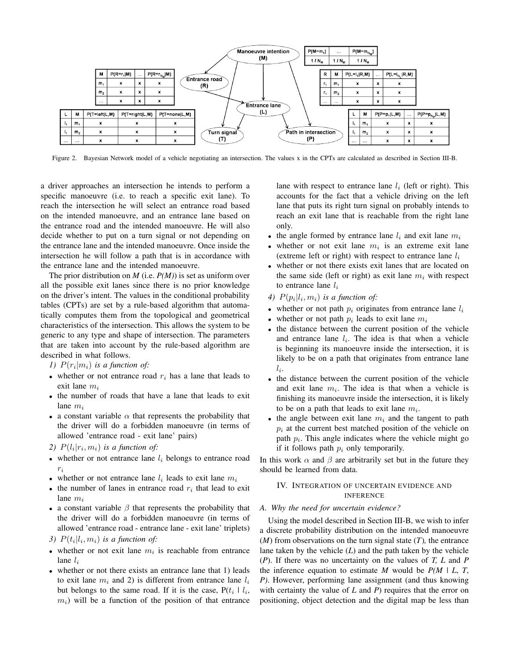

Figure 2. Bayesian Network model of a vehicle negotiating an intersection. The values x in the CPTs are calculated as described in Section III-B.

a driver approaches an intersection he intends to perform a specific manoeuvre (i.e. to reach a specific exit lane). To reach the intersection he will select an entrance road based on the intended manoeuvre, and an entrance lane based on the entrance road and the intended manoeuvre. He will also decide whether to put on a turn signal or not depending on the entrance lane and the intended manoeuvre. Once inside the intersection he will follow a path that is in accordance with the entrance lane and the intended manoeuvre.

The prior distribution on *M* (i.e. *P(M)*) is set as uniform over all the possible exit lanes since there is no prior knowledge on the driver's intent. The values in the conditional probability tables (CPTs) are set by a rule-based algorithm that automatically computes them from the topological and geometrical characteristics of the intersection. This allows the system to be generic to any type and shape of intersection. The parameters that are taken into account by the rule-based algorithm are described in what follows.

- *1)*  $P(r_i|m_i)$  *is a function of:*
- whether or not entrance road  $r_i$  has a lane that leads to exit lane  $m_i$
- the number of roads that have a lane that leads to exit lane  $m_i$
- a constant variable  $\alpha$  that represents the probability that the driver will do a forbidden manoeuvre (in terms of allowed 'entrance road - exit lane' pairs)
- 2)  $P(l_i | r_i, m_i)$  *is a function of:*
- whether or not entrance lane  $l_i$  belongs to entrance road  $r_i$
- whether or not entrance lane  $l_i$  leads to exit lane  $m_i$
- the number of lanes in entrance road  $r_i$  that lead to exit lane  $m_i$
- a constant variable  $\beta$  that represents the probability that the driver will do a forbidden manoeuvre (in terms of allowed 'entrance road - entrance lane - exit lane' triplets)
- 3)  $P(t_i|l_i, m_i)$  *is a function of:*
- whether or not exit lane  $m_i$  is reachable from entrance lane  $l_i$
- whether or not there exists an entrance lane that 1) leads to exit lane  $m_i$  and 2) is different from entrance lane  $l_i$ but belongs to the same road. If it is the case,  $P(t_i | l_i,$  $m_i$ ) will be a function of the position of that entrance

lane with respect to entrance lane  $l_i$  (left or right). This accounts for the fact that a vehicle driving on the left lane that puts its right turn signal on probably intends to reach an exit lane that is reachable from the right lane only.

- the angle formed by entrance lane  $l_i$  and exit lane  $m_i$
- whether or not exit lane  $m_i$  is an extreme exit lane (extreme left or right) with respect to entrance lane  $l_i$
- whether or not there exists exit lanes that are located on the same side (left or right) as exit lane  $m_i$  with respect to entrance lane  $l_i$
- *4*)  $P(p_i|l_i, m_i)$  *is a function of:*
- whether or not path  $p_i$  originates from entrance lane  $l_i$
- whether or not path  $p_i$  leads to exit lane  $m_i$
- the distance between the current position of the vehicle and entrance lane  $l_i$ . The idea is that when a vehicle is beginning its manoeuvre inside the intersection, it is likely to be on a path that originates from entrance lane  $l_i$ .
- the distance between the current position of the vehicle and exit lane  $m_i$ . The idea is that when a vehicle is finishing its manoeuvre inside the intersection, it is likely to be on a path that leads to exit lane  $m_i$ .
- the angle between exit lane  $m_i$  and the tangent to path  $p_i$  at the current best matched position of the vehicle on path  $p_i$ . This angle indicates where the vehicle might go if it follows path  $p_i$  only temporarily.

In this work  $\alpha$  and  $\beta$  are arbitrarily set but in the future they should be learned from data.

#### IV. INTEGRATION OF UNCERTAIN EVIDENCE AND INFERENCE

#### *A. Why the need for uncertain evidence?*

Using the model described in Section III-B, we wish to infer a discrete probability distribution on the intended manoeuvre (*M*) from observations on the turn signal state (*T*)*,* the entrance lane taken by the vehicle (*L*) and the path taken by the vehicle (*P*). If there was no uncertainty on the values of *T, L* and *P* the inference equation to estimate *M* would be  $P(M | L, T)$ , *P)*. However, performing lane assignment (and thus knowing with certainty the value of *L* and *P*) requires that the error on positioning, object detection and the digital map be less than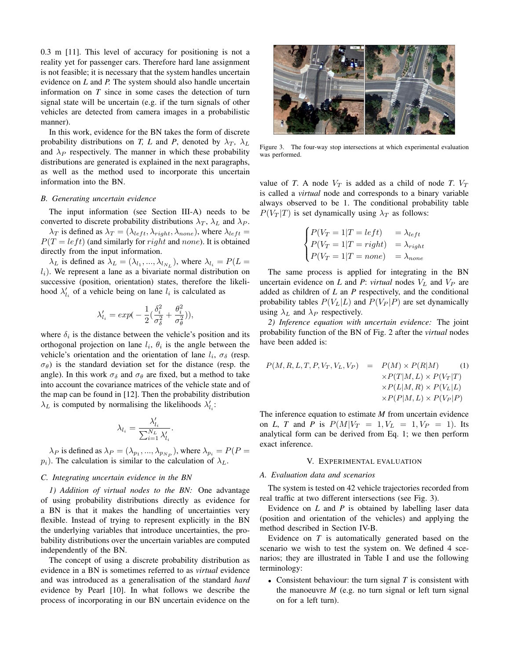0.3 m [11]. This level of accuracy for positioning is not a reality yet for passenger cars. Therefore hard lane assignment is not feasible; it is necessary that the system handles uncertain evidence on *L* and *P.* The system should also handle uncertain information on *T* since in some cases the detection of turn signal state will be uncertain (e.g. if the turn signals of other vehicles are detected from camera images in a probabilistic manner).

In this work, evidence for the BN takes the form of discrete probability distributions on *T*, *L* and *P*, denoted by  $\lambda_T$ ,  $\lambda_L$ and  $\lambda_P$  respectively. The manner in which these probability distributions are generated is explained in the next paragraphs, as well as the method used to incorporate this uncertain information into the BN.

#### *B. Generating uncertain evidence*

The input information (see Section III-A) needs to be converted to discrete probability distributions  $\lambda_T$ ,  $\lambda_L$  and  $\lambda_P$ .

 $\lambda_T$  is defined as  $\lambda_T = (\lambda_{left}, \lambda_{right}, \lambda_{none})$ , where  $\lambda_{left}$  $P(T = left)$  (and similarly for *right* and *none*). It is obtained directly from the input information.

 $\lambda_L$  is defined as  $\lambda_L = (\lambda_{l_1}, ..., \lambda_{l_{N_L}})$ , where  $\lambda_{l_i} = P(L =$  $l_i$ ). We represent a lane as a bivariate normal distribution on successive (position, orientation) states, therefore the likelihood  $\lambda'_{l_i}$  of a vehicle being on lane  $l_i$  is calculated as

$$
\lambda'_{l_i} = exp(-\frac{1}{2}(\frac{\delta_i^2}{\sigma_{\delta}^2} + \frac{\theta_i^2}{\sigma_{\theta}^2})),
$$

where  $\delta_i$  is the distance between the vehicle's position and its orthogonal projection on lane  $l_i$ ,  $\theta_i$  is the angle between the vehicle's orientation and the orientation of lane  $l_i$ ,  $\sigma_{\delta}$  (resp.  $\sigma_{\theta}$ ) is the standard deviation set for the distance (resp. the angle). In this work  $\sigma_{\delta}$  and  $\sigma_{\theta}$  are fixed, but a method to take into account the covariance matrices of the vehicle state and of the map can be found in [12]. Then the probability distribution  $\lambda_L$  is computed by normalising the likelihoods  $\lambda'_{l_i}$ :

$$
\lambda_{l_i} = \frac{\lambda'_{l_i}}{\sum_{i=1}^{N_L} \lambda'_{l_i}}.
$$

 $\lambda_P$  is defined as  $\lambda_P = (\lambda_{p_1}, ..., \lambda_{p_{N_P}})$ , where  $\lambda_{p_i} = P(P =$  $p_i$ ). The calculation is similar to the calculation of  $\lambda_L$ .

#### *C. Integrating uncertain evidence in the BN*

*1) Addition of virtual nodes to the BN:* One advantage of using probability distributions directly as evidence for a BN is that it makes the handling of uncertainties very flexible. Instead of trying to represent explicitly in the BN the underlying variables that introduce uncertainties, the probability distributions over the uncertain variables are computed independently of the BN.

The concept of using a discrete probability distribution as evidence in a BN is sometimes referred to as *virtual* evidence and was introduced as a generalisation of the standard *hard* evidence by Pearl [10]. In what follows we describe the process of incorporating in our BN uncertain evidence on the



Figure 3. The four-way stop intersections at which experimental evaluation was performed.

value of *T*. A node  $V_T$  is added as a child of node *T*.  $V_T$ is called a *virtual* node and corresponds to a binary variable always observed to be 1. The conditional probability table  $P(V_T | T)$  is set dynamically using  $\lambda_T$  as follows:

$$
\begin{cases}\nP(V_T = 1|T = left) &= \lambda_{left} \\
P(V_T = 1|T = right) &= \lambda_{right} \\
P(V_T = 1|T = none) &= \lambda_{none}\n\end{cases}
$$

The same process is applied for integrating in the BN uncertain evidence on *L* and *P*: *virtual* nodes  $V_L$  and  $V_P$  are added as children of *L* an *P* respectively, and the conditional probability tables  $P(V_L|L)$  and  $P(V_P|P)$  are set dynamically using  $\lambda_L$  and  $\lambda_P$  respectively.

*2) Inference equation with uncertain evidence:* The joint probability function of the BN of Fig. 2 after the *virtual* nodes have been added is:

$$
P(M, R, L, T, P, V_T, V_L, V_P) = P(M) \times P(R|M) \qquad (1)
$$
  
\n
$$
\times P(T|M, L) \times P(V_T|T)
$$
  
\n
$$
\times P(L|M, R) \times P(V_L|L)
$$
  
\n
$$
\times P(P|M, L) \times P(V_P|P)
$$

The inference equation to estimate *M* from uncertain evidence on *L*, *T* and *P* is  $P(M|V_T = 1, V_L = 1, V_P = 1)$ . Its analytical form can be derived from Eq. 1; we then perform exact inference.

#### V. EXPERIMENTAL EVALUATION

#### *A. Evaluation data and scenarios*

The system is tested on 42 vehicle trajectories recorded from real traffic at two different intersections (see Fig. 3).

Evidence on *L* and *P* is obtained by labelling laser data (position and orientation of the vehicles) and applying the method described in Section IV-B.

Evidence on *T* is automatically generated based on the scenario we wish to test the system on. We defined 4 scenarios; they are illustrated in Table I and use the following terminology:

• Consistent behaviour: the turn signal *T* is consistent with the manoeuvre *M* (e.g. no turn signal or left turn signal on for a left turn).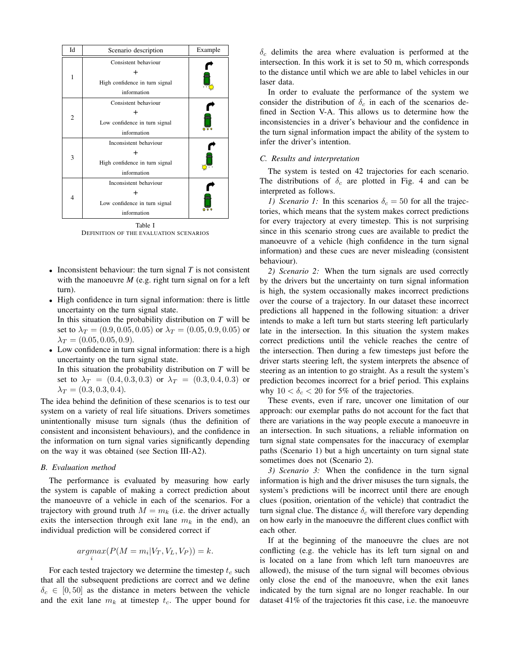

Table I DEFINITION OF THE EVALUATION SCENARIOS

- Inconsistent behaviour: the turn signal  $T$  is not consistent with the manoeuvre *M* (e.g. right turn signal on for a left turn).
- High confidence in turn signal information: there is little uncertainty on the turn signal state.

In this situation the probability distribution on *T* will be set to  $\lambda_T = (0.9, 0.05, 0.05)$  or  $\lambda_T = (0.05, 0.9, 0.05)$  or  $\lambda_T = (0.05, 0.05, 0.9)$ .

• Low confidence in turn signal information: there is a high uncertainty on the turn signal state.

In this situation the probability distribution on *T* will be set to  $\lambda_T = (0.4, 0.3, 0.3)$  or  $\lambda_T = (0.3, 0.4, 0.3)$  or  $\lambda_T = (0.3, 0.3, 0.4)$ .

The idea behind the definition of these scenarios is to test our system on a variety of real life situations. Drivers sometimes unintentionally misuse turn signals (thus the definition of consistent and inconsistent behaviours), and the confidence in the information on turn signal varies significantly depending on the way it was obtained (see Section III-A2).

#### *B. Evaluation method*

The performance is evaluated by measuring how early the system is capable of making a correct prediction about the manoeuvre of a vehicle in each of the scenarios. For a trajectory with ground truth  $M = m_k$  (i.e. the driver actually exits the intersection through exit lane  $m_k$  in the end), an individual prediction will be considered correct if

$$
argmax_{i}(P(M = m_i|V_T, V_L, V_P)) = k.
$$

For each tested trajectory we determine the timestep  $t_c$  such that all the subsequent predictions are correct and we define  $\delta_c \in [0, 50]$  as the distance in meters between the vehicle and the exit lane  $m_k$  at timestep  $t_c$ . The upper bound for

 $\delta_c$  delimits the area where evaluation is performed at the intersection. In this work it is set to 50 m, which corresponds to the distance until which we are able to label vehicles in our laser data.

In order to evaluate the performance of the system we consider the distribution of  $\delta_c$  in each of the scenarios defined in Section V-A. This allows us to determine how the inconsistencies in a driver's behaviour and the confidence in the turn signal information impact the ability of the system to infer the driver's intention.

#### *C. Results and interpretation*

The system is tested on 42 trajectories for each scenario. The distributions of  $\delta_c$  are plotted in Fig. 4 and can be interpreted as follows.

*1) Scenario 1:* In this scenarios  $\delta_c = 50$  for all the trajectories, which means that the system makes correct predictions for every trajectory at every timestep. This is not surprising since in this scenario strong cues are available to predict the manoeuvre of a vehicle (high confidence in the turn signal information) and these cues are never misleading (consistent behaviour).

*2) Scenario 2:* When the turn signals are used correctly by the drivers but the uncertainty on turn signal information is high, the system occasionally makes incorrect predictions over the course of a trajectory. In our dataset these incorrect predictions all happened in the following situation: a driver intends to make a left turn but starts steering left particularly late in the intersection. In this situation the system makes correct predictions until the vehicle reaches the centre of the intersection. Then during a few timesteps just before the driver starts steering left, the system interprets the absence of steering as an intention to go straight. As a result the system's prediction becomes incorrect for a brief period. This explains why  $10 < \delta_c < 20$  for 5% of the trajectories.

These events, even if rare, uncover one limitation of our approach: our exemplar paths do not account for the fact that there are variations in the way people execute a manoeuvre in an intersection. In such situations, a reliable information on turn signal state compensates for the inaccuracy of exemplar paths (Scenario 1) but a high uncertainty on turn signal state sometimes does not (Scenario 2).

*3) Scenario 3:* When the confidence in the turn signal information is high and the driver misuses the turn signals, the system's predictions will be incorrect until there are enough clues (position, orientation of the vehicle) that contradict the turn signal clue. The distance  $\delta_c$  will therefore vary depending on how early in the manoeuvre the different clues conflict with each other.

If at the beginning of the manoeuvre the clues are not conflicting (e.g. the vehicle has its left turn signal on and is located on a lane from which left turn manoeuvres are allowed), the misuse of the turn signal will becomes obvious only close the end of the manoeuvre, when the exit lanes indicated by the turn signal are no longer reachable. In our dataset 41% of the trajectories fit this case, i.e. the manoeuvre